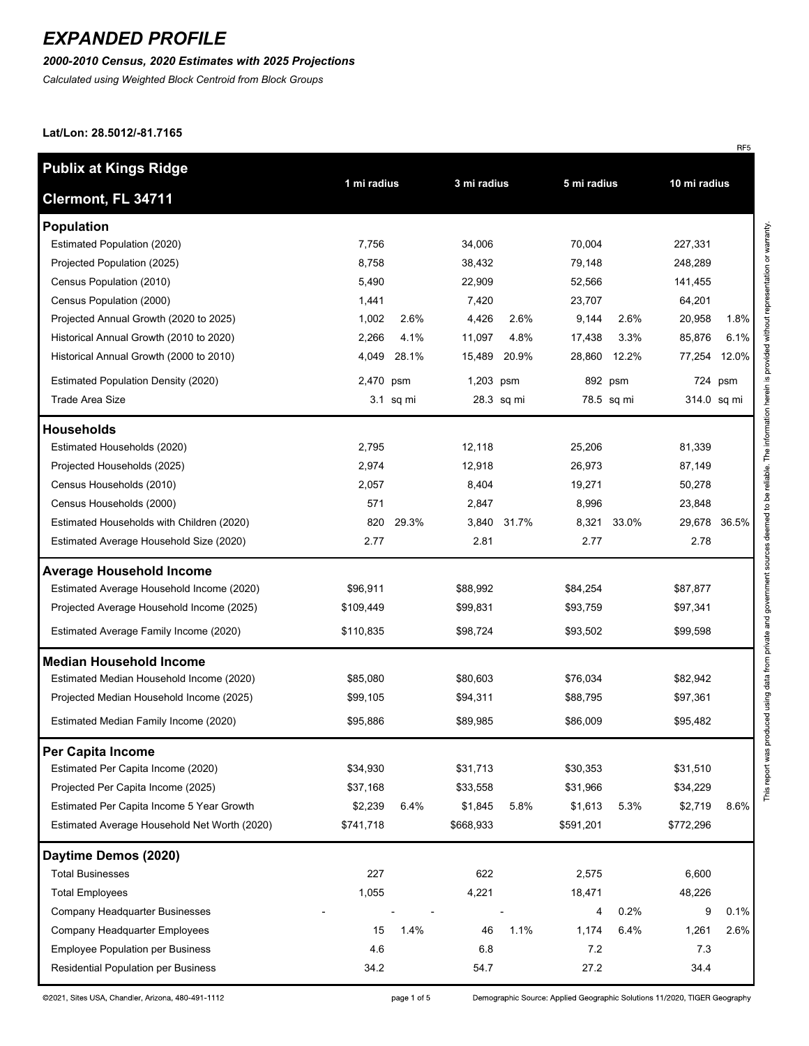### *2000-2010 Census, 2020 Estimates with 2025 Projections*

*Calculated using Weighted Block Centroid from Block Groups*

#### **Lat/Lon: 28.5012/-81.7165**

| <b>Publix at Kings Ridge</b>                 |                            |           |             |            |              |            |           |             |
|----------------------------------------------|----------------------------|-----------|-------------|------------|--------------|------------|-----------|-------------|
| Clermont, FL 34711                           | 1 mi radius<br>3 mi radius |           | 5 mi radius |            | 10 mi radius |            |           |             |
| <b>Population</b>                            |                            |           |             |            |              |            |           |             |
| Estimated Population (2020)                  | 7,756                      |           | 34,006      |            | 70,004       |            | 227,331   |             |
| Projected Population (2025)                  | 8,758                      |           | 38,432      |            | 79,148       |            | 248,289   |             |
| Census Population (2010)                     | 5,490                      |           | 22,909      |            | 52,566       |            | 141,455   |             |
| Census Population (2000)                     | 1,441                      |           | 7,420       |            | 23,707       |            | 64,201    |             |
| Projected Annual Growth (2020 to 2025)       | 1,002                      | 2.6%      | 4,426       | 2.6%       | 9,144        | 2.6%       | 20,958    | 1.8%        |
| Historical Annual Growth (2010 to 2020)      | 2,266                      | 4.1%      | 11,097      | 4.8%       | 17,438       | 3.3%       | 85,876    | 6.1%        |
| Historical Annual Growth (2000 to 2010)      | 4,049                      | 28.1%     | 15,489      | 20.9%      | 28,860       | 12.2%      | 77,254    | 12.0%       |
| <b>Estimated Population Density (2020)</b>   | 2,470 psm                  |           | 1,203 psm   |            |              | 892 psm    |           | 724 psm     |
| <b>Trade Area Size</b>                       |                            | 3.1 sq mi |             | 28.3 sq mi |              | 78.5 sq mi |           | 314.0 sq mi |
| <b>Households</b>                            |                            |           |             |            |              |            |           |             |
| Estimated Households (2020)                  | 2,795                      |           | 12,118      |            | 25,206       |            | 81,339    |             |
| Projected Households (2025)                  | 2,974                      |           | 12,918      |            | 26,973       |            | 87,149    |             |
| Census Households (2010)                     | 2,057                      |           | 8,404       |            | 19,271       |            | 50,278    |             |
| Census Households (2000)                     | 571                        |           | 2,847       |            | 8,996        |            | 23,848    |             |
| Estimated Households with Children (2020)    | 820                        | 29.3%     | 3,840       | 31.7%      | 8,321        | 33.0%      | 29,678    | 36.5%       |
| Estimated Average Household Size (2020)      | 2.77                       |           | 2.81        |            | 2.77         |            | 2.78      |             |
| <b>Average Household Income</b>              |                            |           |             |            |              |            |           |             |
| Estimated Average Household Income (2020)    | \$96,911                   |           | \$88,992    |            | \$84,254     |            | \$87,877  |             |
| Projected Average Household Income (2025)    | \$109,449                  |           | \$99,831    |            | \$93,759     |            | \$97,341  |             |
| Estimated Average Family Income (2020)       | \$110,835                  |           | \$98,724    |            | \$93,502     |            | \$99,598  |             |
| <b>Median Household Income</b>               |                            |           |             |            |              |            |           |             |
| Estimated Median Household Income (2020)     | \$85,080                   |           | \$80,603    |            | \$76,034     |            | \$82,942  |             |
| Projected Median Household Income (2025)     | \$99,105                   |           | \$94,311    |            | \$88,795     |            | \$97,361  |             |
| Estimated Median Family Income (2020)        | \$95,886                   |           | \$89,985    |            | \$86,009     |            | \$95,482  |             |
| Per Capita Income                            |                            |           |             |            |              |            |           |             |
| Estimated Per Capita Income (2020)           | \$34,930                   |           | \$31,713    |            | \$30,353     |            | \$31,510  |             |
| Projected Per Capita Income (2025)           | \$37,168                   |           | \$33,558    |            | \$31,966     |            | \$34,229  |             |
| Estimated Per Capita Income 5 Year Growth    | \$2,239                    | 6.4%      | \$1,845     | 5.8%       | \$1,613      | 5.3%       | \$2,719   | 8.6%        |
| Estimated Average Household Net Worth (2020) | \$741,718                  |           | \$668,933   |            | \$591,201    |            | \$772,296 |             |
| Daytime Demos (2020)                         |                            |           |             |            |              |            |           |             |
| <b>Total Businesses</b>                      | 227                        |           | 622         |            | 2,575        |            | 6,600     |             |
| <b>Total Employees</b>                       | 1,055                      |           | 4,221       |            | 18,471       |            | 48,226    |             |
| Company Headquarter Businesses               |                            |           |             |            | 4            | 0.2%       | 9         | 0.1%        |
| Company Headquarter Employees                | 15                         | 1.4%      | 46          | 1.1%       | 1,174        | 6.4%       | 1,261     | 2.6%        |
| <b>Employee Population per Business</b>      | 4.6                        |           | 6.8         |            | 7.2          |            | 7.3       |             |
| Residential Population per Business          | 34.2                       |           | 54.7        |            | 27.2         |            | 34.4      |             |

©2021, Sites USA, Chandler, Arizona, 480-491-1112

Demographic Source: Applied Geographic Solutions 11/2020, TIGER Geography

RF<sub>5</sub>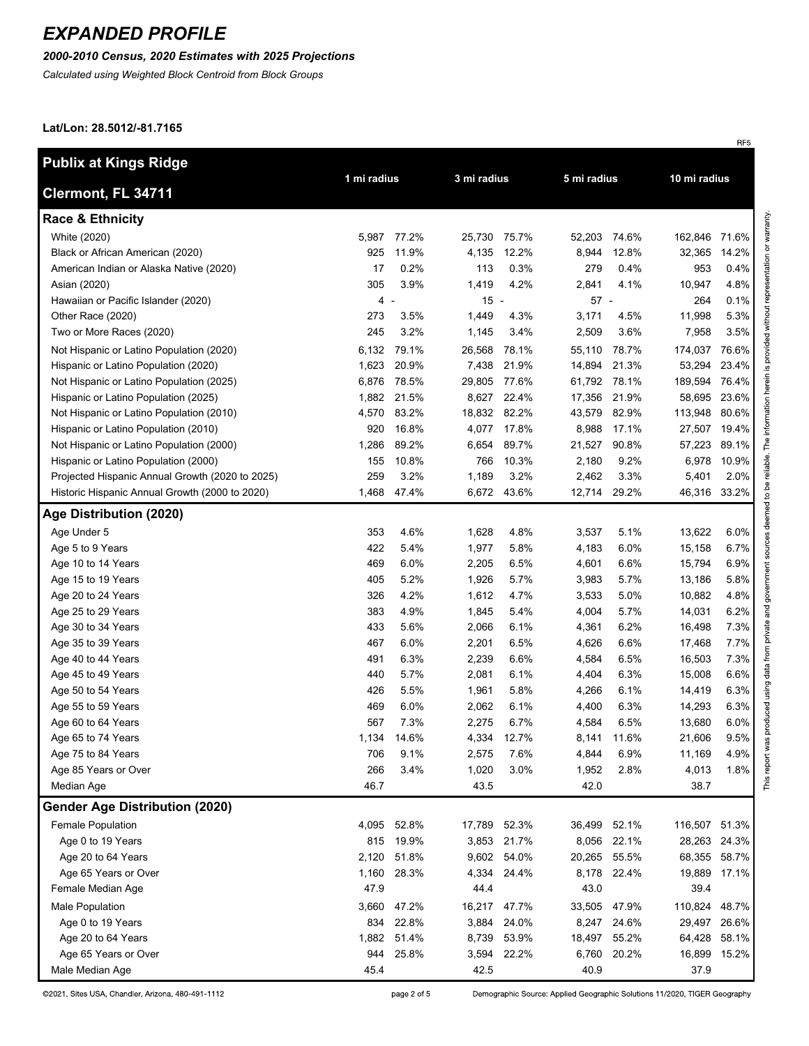### *2000-2010 Census, 2020 Estimates with 2025 Projections*

*Calculated using Weighted Block Centroid from Block Groups*

#### **Lat/Lon: 28.5012/-81.7165**

| <b>Publix at Kings Ridge</b>                    |             |       |              |             |             |              |               |              |
|-------------------------------------------------|-------------|-------|--------------|-------------|-------------|--------------|---------------|--------------|
| Clermont, FL 34711                              | 1 mi radius |       | 3 mi radius  |             | 5 mi radius |              | 10 mi radius  |              |
| <b>Race &amp; Ethnicity</b>                     |             |       |              |             |             |              |               |              |
| White (2020)                                    | 5,987       | 77.2% | 25,730       | 75.7%       | 52,203      | 74.6%        | 162,846       | 71.6%        |
| Black or African American (2020)                | 925         | 11.9% | 4,135        | 12.2%       | 8,944       | 12.8%        | 32,365        | 14.2%        |
| American Indian or Alaska Native (2020)         | 17          | 0.2%  | 113          | 0.3%        | 279         | 0.4%         | 953           | 0.4%         |
| Asian (2020)                                    | 305         | 3.9%  | 1,419        | 4.2%        | 2,841       | 4.1%         | 10,947        | 4.8%         |
| Hawaiian or Pacific Islander (2020)             | 4 -         |       | $15 -$       |             | $57 -$      |              | 264           | 0.1%         |
| Other Race (2020)                               | 273         | 3.5%  | 1,449        | 4.3%        | 3,171       | 4.5%         | 11,998        | 5.3%         |
| Two or More Races (2020)                        | 245         | 3.2%  | 1,145        | 3.4%        | 2,509       | 3.6%         | 7,958         | 3.5%         |
| Not Hispanic or Latino Population (2020)        | 6,132       | 79.1% | 26,568       | 78.1%       | 55,110      | 78.7%        | 174,037       | 76.6%        |
| Hispanic or Latino Population (2020)            | 1,623       | 20.9% | 7,438        | 21.9%       | 14,894      | 21.3%        | 53,294        | 23.4%        |
| Not Hispanic or Latino Population (2025)        | 6,876       | 78.5% | 29,805       | 77.6%       |             | 61,792 78.1% | 189,594       | 76.4%        |
| Hispanic or Latino Population (2025)            | 1,882       | 21.5% | 8,627        | 22.4%       | 17,356      | 21.9%        | 58,695        | 23.6%        |
| Not Hispanic or Latino Population (2010)        | 4,570       | 83.2% | 18,832       | 82.2%       | 43,579      | 82.9%        | 113,948       | 80.6%        |
| Hispanic or Latino Population (2010)            | 920         | 16.8% | 4,077        | 17.8%       | 8,988       | 17.1%        | 27,507        | 19.4%        |
| Not Hispanic or Latino Population (2000)        | 1,286       | 89.2% | 6,654        | 89.7%       | 21,527      | 90.8%        | 57,223        | 89.1%        |
| Hispanic or Latino Population (2000)            | 155         | 10.8% | 766          | 10.3%       | 2,180       | 9.2%         | 6,978         | 10.9%        |
| Projected Hispanic Annual Growth (2020 to 2025) | 259         | 3.2%  | 1,189        | 3.2%        | 2,462       | 3.3%         | 5,401         | 2.0%         |
| Historic Hispanic Annual Growth (2000 to 2020)  | 1,468       | 47.4% |              | 6,672 43.6% |             | 12,714 29.2% |               | 46,316 33.2% |
| Age Distribution (2020)                         |             |       |              |             |             |              |               |              |
| Age Under 5                                     | 353         | 4.6%  | 1,628        | 4.8%        | 3,537       | 5.1%         | 13,622        | 6.0%         |
| Age 5 to 9 Years                                | 422         | 5.4%  | 1,977        | 5.8%        | 4,183       | 6.0%         | 15,158        | 6.7%         |
| Age 10 to 14 Years                              | 469         | 6.0%  | 2,205        | 6.5%        | 4,601       | 6.6%         | 15,794        | 6.9%         |
| Age 15 to 19 Years                              | 405         | 5.2%  | 1,926        | 5.7%        | 3,983       | 5.7%         | 13,186        | 5.8%         |
| Age 20 to 24 Years                              | 326         | 4.2%  | 1,612        | 4.7%        | 3,533       | 5.0%         | 10,882        | 4.8%         |
| Age 25 to 29 Years                              | 383         | 4.9%  | 1,845        | 5.4%        | 4,004       | 5.7%         | 14,031        | 6.2%         |
| Age 30 to 34 Years                              | 433         | 5.6%  | 2,066        | 6.1%        | 4,361       | 6.2%         | 16,498        | 7.3%         |
| Age 35 to 39 Years                              | 467         | 6.0%  | 2,201        | 6.5%        | 4,626       | 6.6%         | 17,468        | 7.7%         |
| Age 40 to 44 Years                              | 491         | 6.3%  | 2,239        | 6.6%        | 4,584       | 6.5%         | 16,503        | 7.3%         |
| Age 45 to 49 Years                              | 440         | 5.7%  | 2,081        | 6.1%        | 4,404       | 6.3%         | 15,008        | 6.6%         |
| Age 50 to 54 Years                              | 426         | 5.5%  | 1,961        | 5.8%        | 4,266       | 6.1%         | 14,419        | 6.3%         |
| Age 55 to 59 Years                              | 469         | 6.0%  | 2,062        | 6.1%        | 4,400       | 6.3%         | 14,293        | 6.3%         |
| Age 60 to 64 Years                              | 567         | 7.3%  | 2,275        | 6.7%        | 4,584       | 6.5%         | 13,680        | 6.0%         |
| Age 65 to 74 Years                              | 1,134       | 14.6% | 4,334        | 12.7%       | 8,141       | 11.6%        | 21,606        | 9.5%         |
| Age 75 to 84 Years                              | 706         | 9.1%  | 2,575        | 7.6%        | 4,844       | 6.9%         | 11,169        | 4.9%         |
| Age 85 Years or Over                            | 266         | 3.4%  | 1,020        | 3.0%        | 1,952       | 2.8%         | 4,013         | 1.8%         |
| Median Age                                      | 46.7        |       | 43.5         |             | 42.0        |              | 38.7          |              |
| Gender Age Distribution (2020)                  |             |       |              |             |             |              |               |              |
| Female Population                               | 4,095       | 52.8% | 17,789 52.3% |             |             | 36,499 52.1% | 116,507 51.3% |              |
| Age 0 to 19 Years                               | 815         | 19.9% |              | 3,853 21.7% | 8,056       | 22.1%        | 28,263        | 24.3%        |
| Age 20 to 64 Years                              | 2,120       | 51.8% |              | 9,602 54.0% | 20,265      | 55.5%        | 68,355        | 58.7%        |
| Age 65 Years or Over                            | 1,160       | 28.3% | 4,334        | 24.4%       |             | 8,178 22.4%  | 19,889        | 17.1%        |
| Female Median Age                               | 47.9        |       | 44.4         |             | 43.0        |              | 39.4          |              |
| Male Population                                 | 3,660       | 47.2% | 16,217       | 47.7%       | 33,505      | 47.9%        | 110,824       | 48.7%        |
| Age 0 to 19 Years                               | 834         | 22.8% | 3,884        | 24.0%       | 8,247       | 24.6%        | 29,497        | 26.6%        |
| Age 20 to 64 Years                              | 1,882       | 51.4% | 8,739        | 53.9%       | 18,497      | 55.2%        | 64,428        | 58.1%        |
| Age 65 Years or Over                            | 944         | 25.8% | 3,594        | 22.2%       | 6,760       | 20.2%        | 16,899        | 15.2%        |
| Male Median Age                                 | 45.4        |       | 42.5         |             | 40.9        |              | 37.9          |              |

©2021, Sites USA, Chandler, Arizona, 480-491-1112

page 2 of 5

Demographic Source: Applied Geographic Solutions 11/2020, TIGER Geography

RF5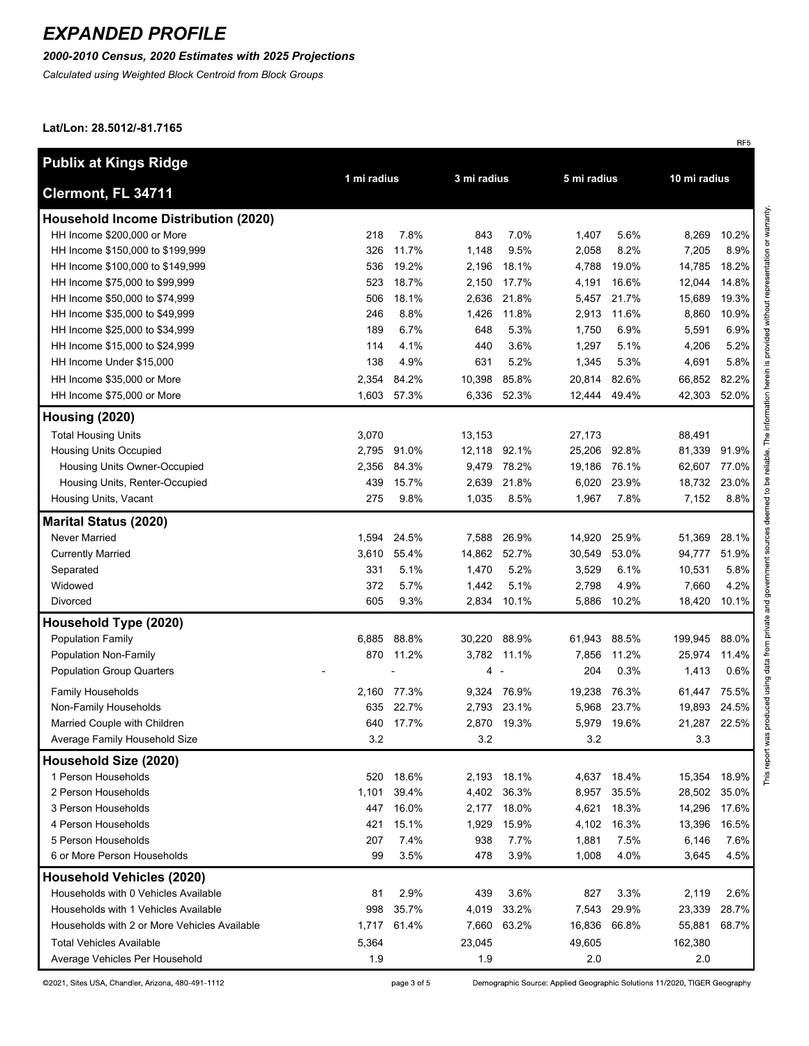### *2000-2010 Census, 2020 Estimates with 2025 Projections*

*Calculated using Weighted Block Centroid from Block Groups*

#### **Lat/Lon: 28.5012/-81.7165**

| <b>Publix at Kings Ridge</b>                 |             |             |              | 3 mi radius |        |       |         | 10 mi radius |  |
|----------------------------------------------|-------------|-------------|--------------|-------------|--------|-------|---------|--------------|--|
| Clermont, FL 34711                           | 1 mi radius |             |              | 5 mi radius |        |       |         |              |  |
| <b>Household Income Distribution (2020)</b>  |             |             |              |             |        |       |         |              |  |
| HH Income \$200,000 or More                  | 218         | 7.8%        | 843          | 7.0%        | 1,407  | 5.6%  | 8,269   | 10.2%        |  |
| HH Income \$150,000 to \$199,999             | 326         | 11.7%       | 1,148        | 9.5%        | 2,058  | 8.2%  | 7,205   | 8.9%         |  |
| HH Income \$100,000 to \$149,999             | 536         | 19.2%       | 2,196        | 18.1%       | 4,788  | 19.0% | 14,785  | 18.2%        |  |
| HH Income \$75,000 to \$99,999               | 523         | 18.7%       | 2,150        | 17.7%       | 4,191  | 16.6% | 12,044  | 14.8%        |  |
| HH Income \$50,000 to \$74,999               | 506         | 18.1%       | 2,636        | 21.8%       | 5,457  | 21.7% | 15,689  | 19.3%        |  |
| HH Income \$35,000 to \$49,999               | 246         | 8.8%        | 1,426        | 11.8%       | 2,913  | 11.6% | 8,860   | 10.9%        |  |
| HH Income \$25,000 to \$34,999               | 189         | 6.7%        | 648          | 5.3%        | 1,750  | 6.9%  | 5,591   | 6.9%         |  |
| HH Income \$15,000 to \$24,999               | 114         | 4.1%        | 440          | 3.6%        | 1,297  | 5.1%  | 4,206   | 5.2%         |  |
| HH Income Under \$15,000                     | 138         | 4.9%        | 631          | 5.2%        | 1,345  | 5.3%  | 4,691   | 5.8%         |  |
| HH Income \$35,000 or More                   | 2,354       | 84.2%       | 10,398       | 85.8%       | 20,814 | 82.6% | 66,852  | 82.2%        |  |
| HH Income \$75,000 or More                   |             | 1,603 57.3% |              | 6,336 52.3% | 12,444 | 49.4% | 42,303  | 52.0%        |  |
| Housing (2020)                               |             |             |              |             |        |       |         |              |  |
| <b>Total Housing Units</b>                   | 3,070       |             | 13,153       |             | 27,173 |       | 88,491  |              |  |
| <b>Housing Units Occupied</b>                | 2,795       | 91.0%       | 12,118 92.1% |             | 25,206 | 92.8% | 81,339  | 91.9%        |  |
| Housing Units Owner-Occupied                 | 2,356       | 84.3%       |              | 9,479 78.2% | 19,186 | 76.1% | 62,607  | 77.0%        |  |
| Housing Units, Renter-Occupied               | 439         | 15.7%       | 2,639        | 21.8%       | 6,020  | 23.9% | 18,732  | 23.0%        |  |
| Housing Units, Vacant                        | 275         | 9.8%        | 1,035        | 8.5%        | 1,967  | 7.8%  | 7,152   | 8.8%         |  |
| <b>Marital Status (2020)</b>                 |             |             |              |             |        |       |         |              |  |
| Never Married                                | 1,594       | 24.5%       |              | 7,588 26.9% | 14,920 | 25.9% | 51,369  | 28.1%        |  |
| <b>Currently Married</b>                     | 3,610       | 55.4%       | 14,862 52.7% |             | 30,549 | 53.0% | 94,777  | 51.9%        |  |
| Separated                                    | 331         | 5.1%        | 1,470        | 5.2%        | 3,529  | 6.1%  | 10,531  | 5.8%         |  |
| Widowed                                      | 372         | 5.7%        | 1,442        | 5.1%        | 2,798  | 4.9%  | 7,660   | 4.2%         |  |
| Divorced                                     | 605         | 9.3%        | 2,834        | 10.1%       | 5,886  | 10.2% | 18,420  | 10.1%        |  |
| Household Type (2020)                        |             |             |              |             |        |       |         |              |  |
| <b>Population Family</b>                     | 6,885       | 88.8%       | 30,220       | 88.9%       | 61,943 | 88.5% | 199,945 | 88.0%        |  |
| Population Non-Family                        | 870         | 11.2%       | 3,782        | 11.1%       | 7,856  | 11.2% | 25,974  | 11.4%        |  |
| <b>Population Group Quarters</b>             |             |             | 4            |             | 204    | 0.3%  | 1,413   | 0.6%         |  |
| <b>Family Households</b>                     | 2,160       | 77.3%       | 9,324        | 76.9%       | 19,238 | 76.3% | 61,447  | 75.5%        |  |
| Non-Family Households                        | 635         | 22.7%       | 2,793        | 23.1%       | 5,968  | 23.7% | 19,893  | 24.5%        |  |
| Married Couple with Children                 | 640         | 17.7%       | 2,870        | 19.3%       | 5,979  | 19.6% | 21,287  | 22.5%        |  |
| Average Family Household Size                | $3.2\,$     |             | 3.2          |             | 3.2    |       | 3.3     |              |  |
| Household Size (2020)                        |             |             |              |             |        |       |         |              |  |
| 1 Person Households                          | 520         | 18.6%       | 2,193        | 18.1%       | 4,637  | 18.4% | 15,354  | 18.9%        |  |
| 2 Person Households                          | 1,101       | 39.4%       |              | 4,402 36.3% | 8,957  | 35.5% | 28,502  | 35.0%        |  |
| 3 Person Households                          | 447         | 16.0%       | 2,177        | 18.0%       | 4,621  | 18.3% | 14,296  | 17.6%        |  |
| 4 Person Households                          | 421         | 15.1%       | 1,929        | 15.9%       | 4,102  | 16.3% | 13,396  | 16.5%        |  |
| 5 Person Households                          | 207         | 7.4%        | 938          | 7.7%        | 1,881  | 7.5%  | 6,146   | 7.6%         |  |
| 6 or More Person Households                  | 99          | 3.5%        | 478          | 3.9%        | 1,008  | 4.0%  | 3,645   | 4.5%         |  |
| <b>Household Vehicles (2020)</b>             |             |             |              |             |        |       |         |              |  |
| Households with 0 Vehicles Available         | 81          | 2.9%        | 439          | 3.6%        | 827    | 3.3%  | 2,119   | 2.6%         |  |
| Households with 1 Vehicles Available         | 998         | 35.7%       | 4,019        | 33.2%       | 7,543  | 29.9% | 23,339  | 28.7%        |  |
| Households with 2 or More Vehicles Available | 1,717       | 61.4%       | 7,660        | 63.2%       | 16,836 | 66.8% | 55,881  | 68.7%        |  |
| <b>Total Vehicles Available</b>              | 5,364       |             | 23,045       |             | 49,605 |       | 162,380 |              |  |
| Average Vehicles Per Household               | 1.9         |             | 1.9          |             | 2.0    |       | 2.0     |              |  |

©2021, Sites USA, Chandler, Arizona, 480-491-1112

page 3 of 5

Demographic Source: Applied Geographic Solutions 11/2020, TIGER Geography

RF<sub>5</sub>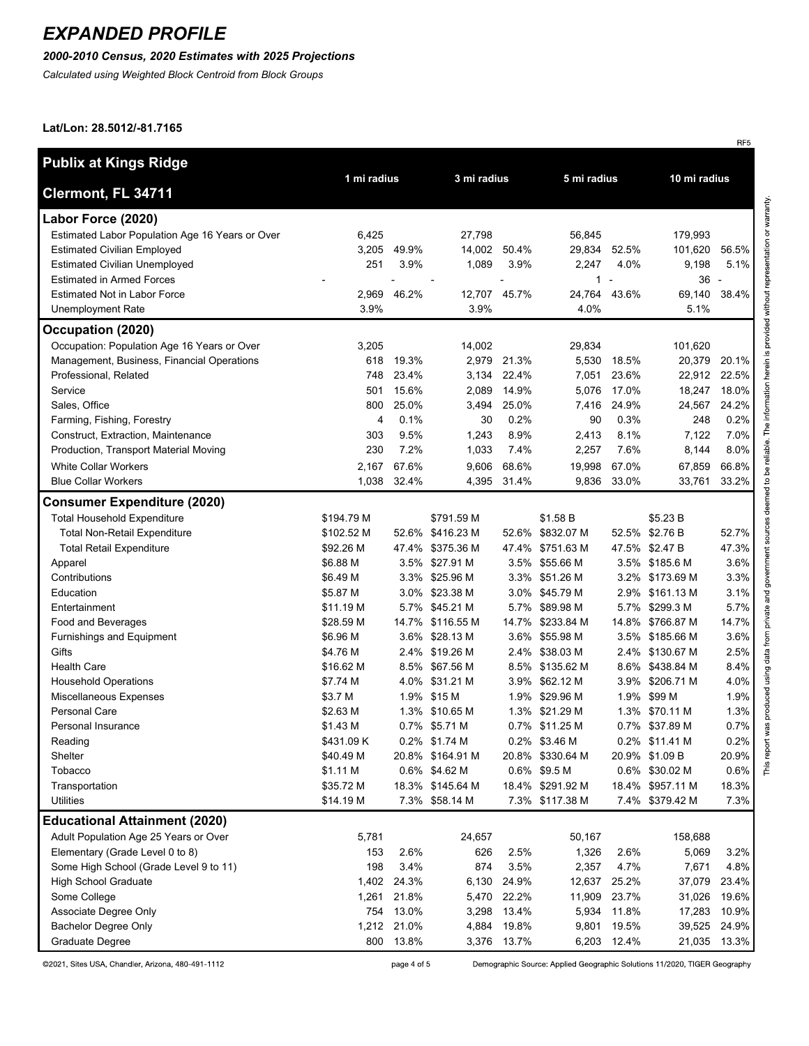### *2000-2010 Census, 2020 Estimates with 2025 Projections*

*Calculated using Weighted Block Centroid from Block Groups*

#### **Lat/Lon: 28.5012/-81.7165**

| Publix at Kings Ridge                           |                            |       |                  |                |                  |             |                  |       |
|-------------------------------------------------|----------------------------|-------|------------------|----------------|------------------|-------------|------------------|-------|
| Clermont, FL 34711                              | 1 mi radius<br>3 mi radius |       | 5 mi radius      |                | 10 mi radius     |             |                  |       |
| Labor Force (2020)                              |                            |       |                  |                |                  |             |                  |       |
| Estimated Labor Population Age 16 Years or Over | 6,425                      |       | 27,798           |                | 56,845           |             | 179,993          |       |
| <b>Estimated Civilian Employed</b>              | 3,205                      | 49.9% | 14,002 50.4%     |                | 29,834           | 52.5%       | 101,620          | 56.5% |
| <b>Estimated Civilian Unemployed</b>            | 251                        | 3.9%  | 1,089            | 3.9%           | 2,247            | 4.0%        | 9,198            | 5.1%  |
| <b>Estimated in Armed Forces</b>                |                            | L.    |                  | $\overline{a}$ | 1                | ÷           | $36 -$           |       |
| <b>Estimated Not in Labor Force</b>             | 2,969                      | 46.2% | 12,707 45.7%     |                | 24,764           | 43.6%       | 69,140           | 38.4% |
| <b>Unemployment Rate</b>                        | 3.9%                       |       | 3.9%             |                | 4.0%             |             | 5.1%             |       |
| Occupation (2020)                               |                            |       |                  |                |                  |             |                  |       |
| Occupation: Population Age 16 Years or Over     | 3,205                      |       | 14,002           |                | 29,834           |             | 101,620          |       |
| Management, Business, Financial Operations      | 618                        | 19.3% | 2,979            | 21.3%          | 5,530            | 18.5%       | 20,379           | 20.1% |
| Professional, Related                           | 748                        | 23.4% | 3,134            | 22.4%          | 7,051            | 23.6%       | 22,912           | 22.5% |
| Service                                         | 501                        | 15.6% | 2,089            | 14.9%          | 5,076            | 17.0%       | 18,247           | 18.0% |
| Sales, Office                                   | 800                        | 25.0% | 3,494            | 25.0%          | 7,416            | 24.9%       | 24,567           | 24.2% |
| Farming, Fishing, Forestry                      | 4                          | 0.1%  | 30               | 0.2%           | 90               | 0.3%        | 248              | 0.2%  |
| Construct, Extraction, Maintenance              | 303                        | 9.5%  | 1,243            | 8.9%           | 2,413            | 8.1%        | 7,122            | 7.0%  |
| Production, Transport Material Moving           | 230                        | 7.2%  | 1,033            | 7.4%           | 2,257            | 7.6%        | 8,144            | 8.0%  |
| <b>White Collar Workers</b>                     | 2,167                      | 67.6% | 9,606            | 68.6%          | 19,998           | 67.0%       | 67,859           | 66.8% |
| <b>Blue Collar Workers</b>                      | 1,038                      | 32.4% | 4,395            | 31.4%          | 9,836            | 33.0%       | 33.761           | 33.2% |
| <b>Consumer Expenditure (2020)</b>              |                            |       |                  |                |                  |             |                  |       |
| <b>Total Household Expenditure</b>              | \$194.79 M                 |       | \$791.59 M       |                | \$1.58 B         |             | \$5.23 B         |       |
| <b>Total Non-Retail Expenditure</b>             | \$102.52 M                 |       | 52.6% \$416.23 M |                | 52.6% \$832.07 M |             | 52.5% \$2.76 B   | 52.7% |
| <b>Total Retail Expenditure</b>                 | \$92.26 M                  |       | 47.4% \$375.36 M |                | 47.4% \$751.63 M |             | 47.5% \$2.47 B   | 47.3% |
| Apparel                                         | \$6.88 M                   |       | 3.5% \$27.91 M   |                | 3.5% \$55.66 M   |             | 3.5% \$185.6 M   | 3.6%  |
| Contributions                                   | \$6.49 M                   |       | 3.3% \$25.96 M   |                | 3.3% \$51.26 M   |             | 3.2% \$173.69 M  | 3.3%  |
| Education                                       | \$5.87 M                   |       | 3.0% \$23.38 M   |                | 3.0% \$45.79 M   | 2.9%        | \$161.13 M       | 3.1%  |
| Entertainment                                   | \$11.19 M                  |       | 5.7% \$45.21 M   |                | 5.7% \$89.98 M   | 5.7%        | \$299.3 M        | 5.7%  |
| Food and Beverages                              | \$28.59 M                  |       | 14.7% \$116.55 M | 14.7%          | \$233.84 M       | 14.8%       | \$766.87 M       | 14.7% |
| Furnishings and Equipment                       | \$6.96 M                   |       | 3.6% \$28.13 M   |                | 3.6% \$55.98 M   |             | 3.5% \$185.66 M  | 3.6%  |
| Gifts                                           | \$4.76 M                   |       | 2.4% \$19.26 M   |                | 2.4% \$38.03 M   | 2.4%        | \$130.67 M       | 2.5%  |
| <b>Health Care</b>                              | \$16.62 M                  |       | 8.5% \$67.56 M   |                | 8.5% \$135.62 M  |             | 8.6% \$438.84 M  | 8.4%  |
| <b>Household Operations</b>                     | \$7.74 M                   |       | 4.0% \$31.21 M   |                | 3.9% \$62.12 M   | 3.9%        | \$206.71 M       | 4.0%  |
| Miscellaneous Expenses                          | \$3.7 M                    |       | 1.9% \$15 M      |                | 1.9% \$29.96 M   |             | 1.9% \$99 M      | 1.9%  |
| Personal Care                                   | \$2.63 M                   |       | 1.3% \$10.65 M   |                | 1.3% \$21.29 M   | 1.3%        | \$70.11 M        | 1.3%  |
| Personal Insurance                              | \$1.43 M                   |       | 0.7% \$5.71 M    |                | 0.7% \$11.25 M   |             | 0.7% \$37.89 M   | 0.7%  |
| Reading                                         | \$431.09 K                 |       | 0.2% \$1.74 M    |                | 0.2% \$3.46 M    |             | 0.2% \$11.41 M   | 0.2%  |
| Shelter                                         | \$40.49 M                  |       | 20.8% \$164.91 M |                | 20.8% \$330.64 M |             | 20.9% \$1.09 B   | 20.9% |
| Tobacco                                         | \$1.11 M                   |       | 0.6% \$4.62 M    |                | 0.6% \$9.5 M     |             | 0.6% \$30.02 M   | 0.6%  |
| Transportation                                  | \$35.72 M                  |       | 18.3% \$145.64 M |                | 18.4% \$291.92 M |             | 18.4% \$957.11 M | 18.3% |
| <b>Utilities</b>                                | \$14.19 M                  |       | 7.3% \$58.14 M   |                | 7.3% \$117.38 M  |             | 7.4% \$379.42 M  | 7.3%  |
| <b>Educational Attainment (2020)</b>            |                            |       |                  |                |                  |             |                  |       |
| Adult Population Age 25 Years or Over           | 5,781                      |       | 24,657           |                | 50,167           |             | 158,688          |       |
| Elementary (Grade Level 0 to 8)                 | 153                        | 2.6%  | 626              | 2.5%           | 1,326            | 2.6%        | 5,069            | 3.2%  |
| Some High School (Grade Level 9 to 11)          | 198                        | 3.4%  | 874              | 3.5%           | 2,357            | 4.7%        | 7,671            | 4.8%  |
| <b>High School Graduate</b>                     | 1,402                      | 24.3% | 6,130            | 24.9%          | 12,637           | 25.2%       | 37,079           | 23.4% |
| Some College                                    | 1,261                      | 21.8% |                  | 5,470 22.2%    | 11,909           | 23.7%       | 31,026           | 19.6% |
| Associate Degree Only                           | 754                        | 13.0% | 3,298            | 13.4%          | 5,934            | 11.8%       | 17,283           | 10.9% |
| <b>Bachelor Degree Only</b>                     | 1,212                      | 21.0% | 4,884            | 19.8%          | 9,801            | 19.5%       | 39,525           | 24.9% |
| Graduate Degree                                 | 800                        | 13.8% |                  | 3,376 13.7%    |                  | 6,203 12.4% | 21,035           | 13.3% |

©2021, Sites USA, Chandler, Arizona, 480-491-1112

page 4 of 5

Demographic Source: Applied Geographic Solutions 11/2020, TIGER Geography

RF5